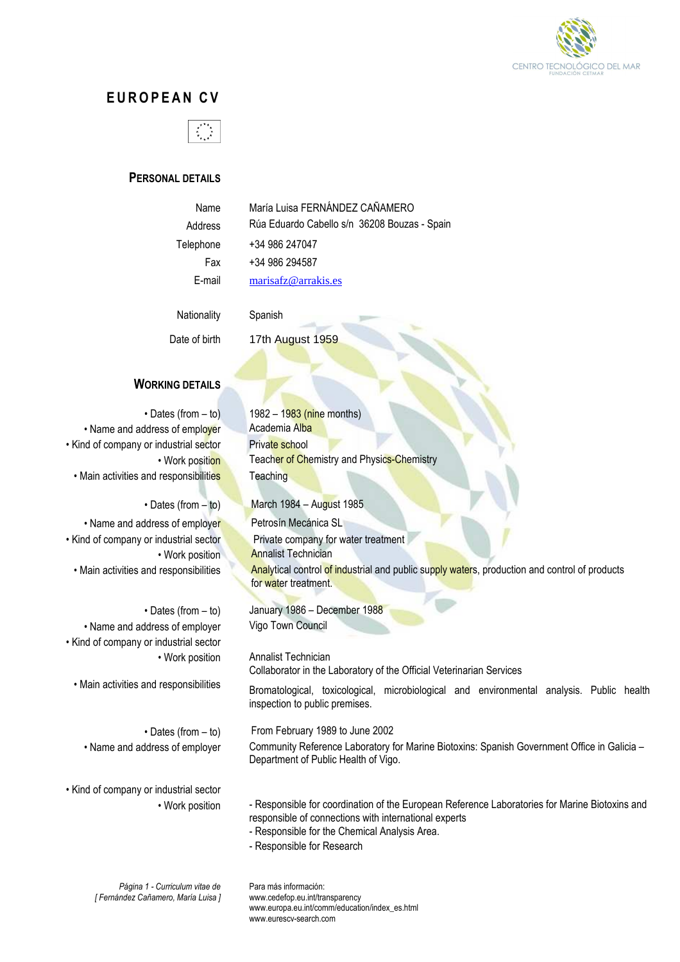

# **E U R O P E A N C V**



# **PERSONAL DETAILS**

| Name      |
|-----------|
| Address   |
| Telephone |
| Fax       |
|           |

María Luisa FERNÁNDEZ CAÑAMERO Rúa Eduardo Cabello s/n 36208 Bouzas - Spain +34 986 247047 +34 986 294587 E-mail marisafz@arrakis.es

Nationality Spanish

Date of birth 17th August 1959

# **WORKING DETAILS**

• Dates (from  $-$  to) 1982 – 1983 (nine months) • Name and address of employer Academia Alba • Kind of company or industrial sector Private school • Main activities and responsibilities Teaching

• Name and address of employer Petrosín Mecánica SL

• Name and address of employer Vigo Town Council • Kind of company or industrial sector

• Kind of company or industrial sector

• Work position Teacher of Chemistry and Physics-Chemistry

• Dates (from – to) March 1984 – August 1985

• Kind of company or industrial sector Private company for water treatment • Work position **Annalist Technician** • Main activities and responsibilities **Analytical control of industrial and public supply waters**, production and control of products for water treatment.

• Dates (from  $-$  to) January 1986 – December 1988

• Work position Annalist Technician Collaborator in the Laboratory of the Official Veterinarian Services

• Main activities and responsibilities Bromatological, toxicological, microbiological and environmental analysis. Public health inspection to public premises.

• Dates (from – to) From February 1989 to June 2002 • Name and address of employer Community Reference Laboratory for Marine Biotoxins: Spanish Government Office in Galicia – Department of Public Health of Vigo.

> • Work position - Responsible for coordination of the European Reference Laboratories for Marine Biotoxins and responsible of connections with international experts

- Responsible for the Chemical Analysis Area.
- Responsible for Research

*Página 1 - Curriculum vitae de [ Fernández Cañamero, María Luisa ]*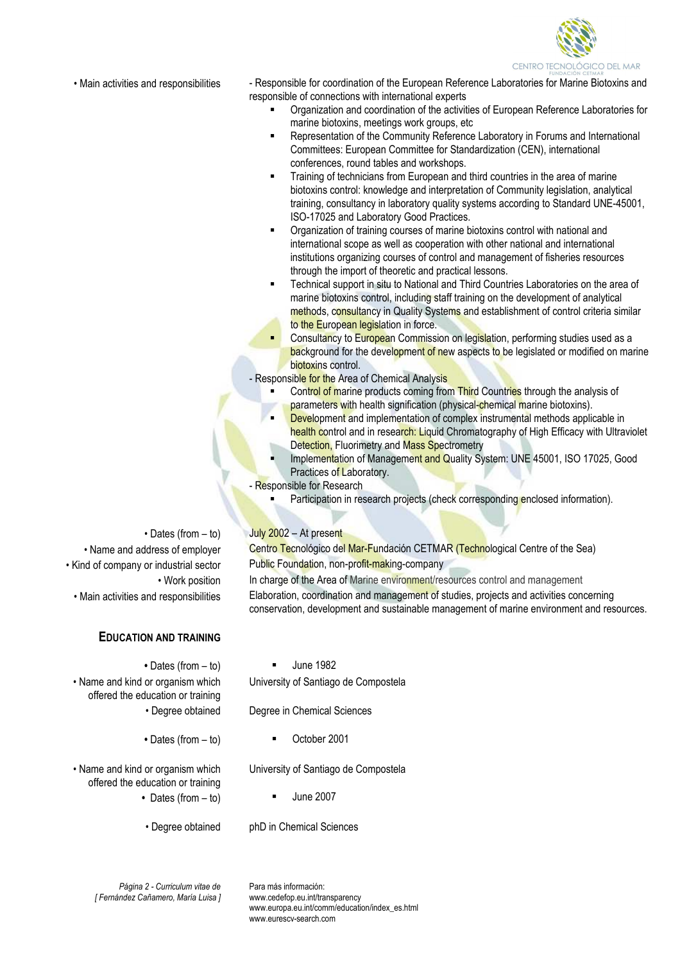

• Main activities and responsibilities **- Responsible for coordination of the European Reference Laboratories for Marine Biotoxins and** responsible of connections with international experts

- Organization and coordination of the activities of European Reference Laboratories for marine biotoxins, meetings work groups, etc
- Representation of the Community Reference Laboratory in Forums and International Committees: European Committee for Standardization (CEN), international conferences, round tables and workshops.
- Training of technicians from European and third countries in the area of marine biotoxins control: knowledge and interpretation of Community legislation, analytical training, consultancy in laboratory quality systems according to Standard UNE-45001, ISO-17025 and Laboratory Good Practices.
- Organization of training courses of marine biotoxins control with national and international scope as well as cooperation with other national and international institutions organizing courses of control and management of fisheries resources through the import of theoretic and practical lessons.
- Technical support in situ to National and Third Countries Laboratories on the area of marine biotoxins control, including staff training on the development of analytical methods, consultancy in Quality Systems and establishment of control criteria similar to the European legislation in force.
- **Consultancy to European Commission on legislation, performing studies used as a** background for the development of new aspects to be legislated or modified on marine biotoxins control.
- Responsible for the Area of Chemical Analysis
	- Control of marine products coming from Third Countries through the analysis of parameters with health signification (physical-chemical marine biotoxins).
	- **Development and implementation of complex instrumental methods applicable in** health control and in research: Liquid Chromatography of High Efficacy with Ultraviolet Detection, Fluorimetry and Mass Spectrometry
	- Implementation of Management and Quality System: UNE 45001, ISO 17025, Good Practices of Laboratory.
- **Responsible for Research** 
	- Participation in research projects (check corresponding enclosed information).

# • Dates (from  $-$  to) July 2002 – At present

• Name and address of employer Centro Tecnológico del Mar-Fundación CETMAR (Technological Centre of the Sea) • Kind of company or industrial sector Public Foundation, non-profit-making-company

• Work position In charge of the Area of Marine environment/resources control and management

• Main activities and responsibilities Elaboration, coordination and management of studies, projects and activities concerning conservation, development and sustainable management of marine environment and resources.

#### **EDUCATION AND TRAINING**

• Dates (from – to) **I** June 1982

• Name and kind or organism which offered the education or training • Degree obtained Degree in Chemical Sciences

- Dates (from to) **•** October 2001
	-

University of Santiago de Compostela

University of Santiago de Compostela

• Name and kind or organism which offered the education or training

- Dates (from to) **·** June 2007
- Degree obtained phD in Chemical Sciences
- 

*Página 2 - Curriculum vitae de [ Fernández Cañamero, María Luisa ]*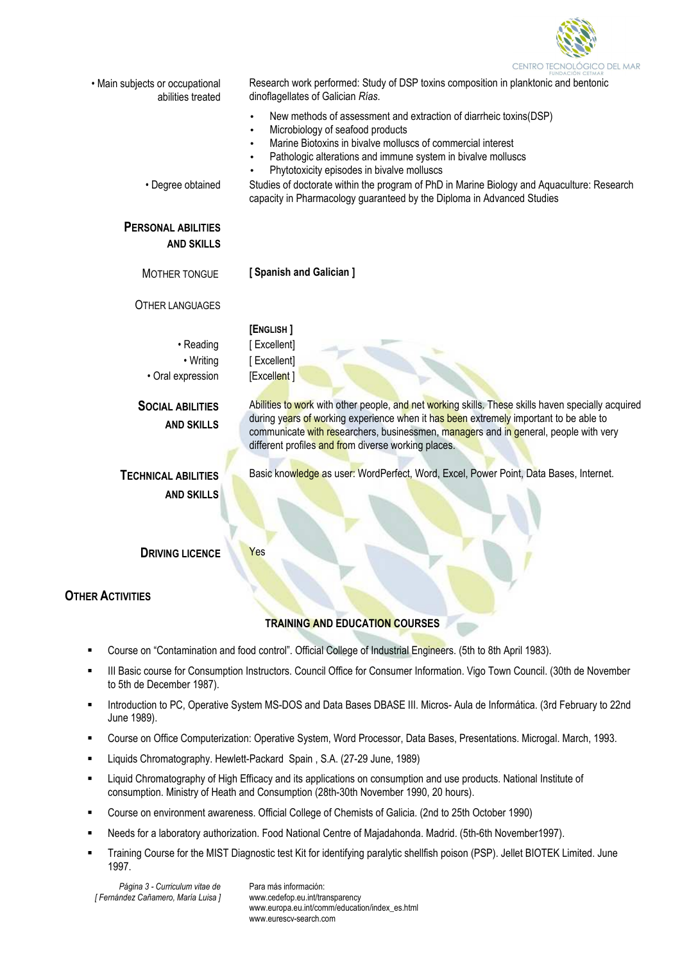

|                                                      | FUNDACIÓN CETMAR                                                                                                         |  |
|------------------------------------------------------|--------------------------------------------------------------------------------------------------------------------------|--|
| • Main subjects or occupational<br>abilities treated | Research work performed: Study of DSP toxins composition in planktonic and bentonic<br>dinoflagellates of Galician Rías. |  |
|                                                      | New methods of assessment and extraction of diarrheic toxins(DSP)                                                        |  |
|                                                      | Microbiology of seafood products<br>$\bullet$<br>Marine Biotoxins in bivalve molluscs of commercial interest             |  |
|                                                      | Pathologic alterations and immune system in bivalve molluscs                                                             |  |
|                                                      | Phytotoxicity episodes in bivalve molluscs                                                                               |  |
| • Degree obtained                                    | Studies of doctorate within the program of PhD in Marine Biology and Aquaculture: Research                               |  |
|                                                      | capacity in Pharmacology guaranteed by the Diploma in Advanced Studies                                                   |  |
| <b>PERSONAL ABILITIES</b>                            |                                                                                                                          |  |
| <b>AND SKILLS</b>                                    |                                                                                                                          |  |
| MOTHER TONGUE                                        | [Spanish and Galician]                                                                                                   |  |
| <b>OTHER LANGUAGES</b>                               |                                                                                                                          |  |
|                                                      | [ENGLISH]                                                                                                                |  |
| • Reading                                            | [Excellent]                                                                                                              |  |
| • Writing                                            | [Excellent]                                                                                                              |  |
| · Oral expression                                    | [Excellent]                                                                                                              |  |
|                                                      |                                                                                                                          |  |
| <b>SOCIAL ABILITIES</b>                              | Abilities to work with other people, and net working skills. These skills haven specially acquired                       |  |
| <b>AND SKILLS</b>                                    | during years of working experience when it has been extremely important to be able to                                    |  |
|                                                      | communicate with researchers, businessmen, managers and in general, people with very                                     |  |
|                                                      | different profiles and from diverse working places.                                                                      |  |
| <b>TECHNICAL ABILITIES</b>                           | Basic knowledge as user: WordPerfect, Word, Excel, Power Point, Data Bases, Internet.                                    |  |
|                                                      |                                                                                                                          |  |
| <b>AND SKILLS</b>                                    |                                                                                                                          |  |
|                                                      |                                                                                                                          |  |
|                                                      |                                                                                                                          |  |
| <b>DRIVING LICENCE</b>                               | Yes                                                                                                                      |  |
|                                                      |                                                                                                                          |  |
|                                                      |                                                                                                                          |  |
| <b>OTHER ACTIVITIES</b>                              |                                                                                                                          |  |
|                                                      | <b>TRAINING AND EDUCATION COURSES</b>                                                                                    |  |
|                                                      |                                                                                                                          |  |
|                                                      | Course on "Contamination and food control". Official College of Industrial Engineers. (5th to 8th April 1983).           |  |

- III Basic course for Consumption Instructors. Council Office for Consumer Information. Vigo Town Council. (30th de November to 5th de December 1987).
- **Introduction to PC, Operative System MS-DOS and Data Bases DBASE III. Micros- Aula de Informática. (3rd February to 22nd)** June 1989).
- Course on Office Computerization: Operative System, Word Processor, Data Bases, Presentations. Microgal. March, 1993.
- Liquids Chromatography. Hewlett-Packard Spain , S.A. (27-29 June, 1989)
- Liquid Chromatography of High Efficacy and its applications on consumption and use products. National Institute of consumption. Ministry of Heath and Consumption (28th-30th November 1990, 20 hours).
- Course on environment awareness. Official College of Chemists of Galicia. (2nd to 25th October 1990)
- Needs for a laboratory authorization. Food National Centre of Majadahonda. Madrid. (5th-6th November1997).
- Training Course for the MIST Diagnostic test Kit for identifying paralytic shellfish poison (PSP). Jellet BIOTEK Limited. June 1997.

*Página 3 - Curriculum vitae de [ Fernández Cañamero, María Luisa ]*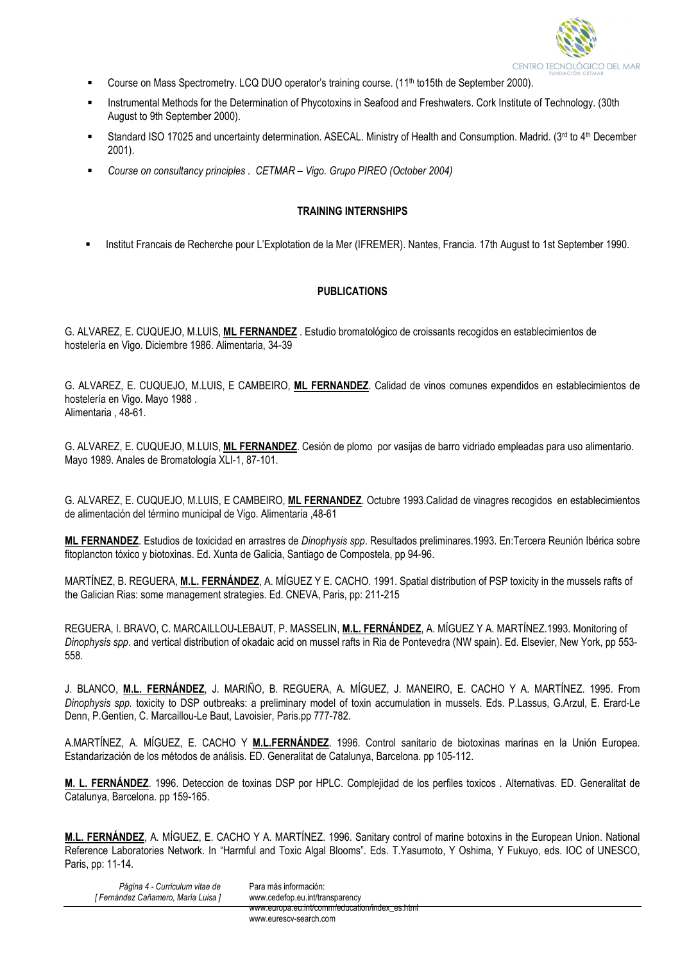

- Course on Mass Spectrometry. LCQ DUO operator's training course. (11<sup>th</sup> to15th de September 2000).
- Instrumental Methods for the Determination of Phycotoxins in Seafood and Freshwaters. Cork Institute of Technology. (30th August to 9th September 2000).
- Standard ISO 17025 and uncertainty determination. ASECAL. Ministry of Health and Consumption. Madrid. ( $3^{rd}$  to  $4^{th}$  December 2001).
- *Course on consultancy principles . CETMAR Vigo. Grupo PIREO (October 2004)*

#### **TRAINING INTERNSHIPS**

Institut Francais de Recherche pour L'Explotation de la Mer (IFREMER). Nantes, Francia. 17th August to 1st September 1990.

## **PUBLICATIONS**

G. ALVAREZ, E. CUQUEJO, M.LUIS, **ML FERNANDEZ** . Estudio bromatológico de croissants recogidos en establecimientos de hostelería en Vigo. Diciembre 1986. Alimentaria, 34-39

G. ALVAREZ, E. CUQUEJO, M.LUIS, E CAMBEIRO, **ML FERNANDEZ**. Calidad de vinos comunes expendidos en establecimientos de hostelería en Vigo. Mayo 1988 . Alimentaria , 48-61.

G. ALVAREZ, E. CUQUEJO, M.LUIS, **ML FERNANDEZ**. Cesión de plomo por vasijas de barro vidriado empleadas para uso alimentario. Mayo 1989. Anales de Bromatología XLI-1, 87-101.

G. ALVAREZ, E. CUQUEJO, M.LUIS, E CAMBEIRO, **ML FERNANDEZ**. Octubre 1993.Calidad de vinagres recogidos en establecimientos de alimentación del término municipal de Vigo. Alimentaria ,48-61

**ML FERNANDEZ**. Estudios de toxicidad en arrastres de *Dinophysis spp*. Resultados preliminares.1993. En:Tercera Reunión Ibérica sobre fitoplancton tóxico y biotoxinas. Ed. Xunta de Galicia, Santiago de Compostela, pp 94-96.

MARTÍNEZ, B. REGUERA, **M.L. FERNÁNDEZ**, A. MÍGUEZ Y E. CACHO. 1991. Spatial distribution of PSP toxicity in the mussels rafts of the Galician Rias: some management strategies. Ed. CNEVA, Paris, pp: 211-215

REGUERA, I. BRAVO, C. MARCAILLOU-LEBAUT, P. MASSELIN, **M.L. FERNÁNDEZ**, A. MÍGUEZ Y A. MARTÍNEZ.1993. Monitoring of *Dinophysis spp*. and vertical distribution of okadaic acid on mussel rafts in Ria de Pontevedra (NW spain). Ed. Elsevier, New York, pp 553- 558.

J. BLANCO, **M.L. FERNÁNDEZ**, J. MARIÑO, B. REGUERA, A. MÍGUEZ, J. MANEIRO, E. CACHO Y A. MARTÍNEZ. 1995. From *Dinophysis spp.* toxicity to DSP outbreaks: a preliminary model of toxin accumulation in mussels. Eds. P.Lassus, G.Arzul, E. Erard-Le Denn, P.Gentien, C. Marcaillou-Le Baut, Lavoisier, Paris.pp 777-782.

A.MARTÍNEZ, A. MÍGUEZ, E. CACHO Y **M.L.FERNÁNDEZ**. 1996. Control sanitario de biotoxinas marinas en la Unión Europea. Estandarización de los métodos de análisis. ED. Generalitat de Catalunya, Barcelona. pp 105-112.

**M. L. FERNÁNDEZ**. 1996. Deteccion de toxinas DSP por HPLC. Complejidad de los perfiles toxicos . Alternativas. ED. Generalitat de Catalunya, Barcelona. pp 159-165.

**M.L. FERNÁNDEZ**, A. MÍGUEZ, E. CACHO Y A. MARTÍNEZ. 1996. Sanitary control of marine botoxins in the European Union. National Reference Laboratories Network. In "Harmful and Toxic Algal Blooms". Eds. T.Yasumoto, Y Oshima, Y Fukuyo, eds. IOC of UNESCO, Paris, pp: 11-14.

*Página 4 - Curriculum vitae de [ Fernández Cañamero, María Luisa ]* Para más información: www.cedefop.eu.int/transparency www.europa.eu.int/comm/education/index\_es.html

www.eurescy-search.com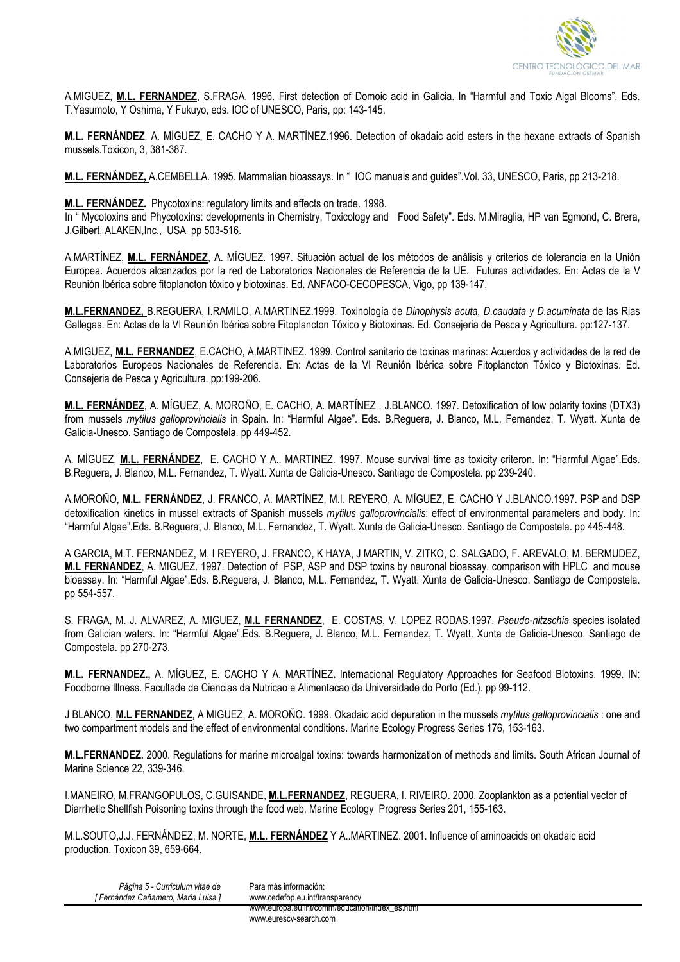

A.MIGUEZ, **M.L. FERNANDEZ**, S.FRAGA. 1996. First detection of Domoic acid in Galicia. In "Harmful and Toxic Algal Blooms". Eds. T.Yasumoto, Y Oshima, Y Fukuyo, eds. IOC of UNESCO, Paris, pp: 143-145.

**M.L. FERNÁNDEZ**, A. MÍGUEZ, E. CACHO Y A. MARTÍNEZ.1996. Detection of okadaic acid esters in the hexane extracts of Spanish mussels.Toxicon, 3, 381-387.

**M.L. FERNÁNDEZ,** A.CEMBELLA. 1995. Mammalian bioassays. In " IOC manuals and guides".Vol. 33, UNESCO, Paris, pp 213-218.

**M.L. FERNÁNDEZ.** Phycotoxins: regulatory limits and effects on trade. 1998.

In " Mycotoxins and Phycotoxins: developments in Chemistry, Toxicology and Food Safety". Eds. M.Miraglia, HP van Egmond, C. Brera, J.Gilbert, ALAKEN,Inc., USA pp 503-516.

A.MARTÍNEZ, **M.L. FERNÁNDEZ**, A. MÍGUEZ. 1997. Situación actual de los métodos de análisis y criterios de tolerancia en la Unión Europea. Acuerdos alcanzados por la red de Laboratorios Nacionales de Referencia de la UE. Futuras actividades. En: Actas de la V Reunión Ibérica sobre fitoplancton tóxico y biotoxinas. Ed. ANFACO-CECOPESCA, Vigo, pp 139-147.

**M.L.FERNANDEZ,** B.REGUERA, I.RAMILO, A.MARTINEZ.1999. Toxinología de *Dinophysis acuta, D.caudata y D.acuminata* de las Rias Gallegas. En: Actas de la VI Reunión Ibérica sobre Fitoplancton Tóxico y Biotoxinas. Ed. Consejeria de Pesca y Agricultura. pp:127-137.

A.MIGUEZ, **M.L. FERNANDEZ**, E.CACHO, A.MARTINEZ. 1999. Control sanitario de toxinas marinas: Acuerdos y actividades de la red de Laboratorios Europeos Nacionales de Referencia. En: Actas de la VI Reunión Ibérica sobre Fitoplancton Tóxico y Biotoxinas. Ed. Consejeria de Pesca y Agricultura. pp:199-206.

**M.L. FERNÁNDEZ**, A. MÍGUEZ, A. MOROÑO, E. CACHO, A. MARTÍNEZ , J.BLANCO. 1997. Detoxification of low polarity toxins (DTX3) from mussels *mytilus galloprovincialis* in Spain. In: "Harmful Algae". Eds. B.Reguera, J. Blanco, M.L. Fernandez, T. Wyatt. Xunta de Galicia-Unesco. Santiago de Compostela. pp 449-452.

A. MÍGUEZ, **M.L. FERNÁNDEZ**, E. CACHO Y A.. MARTINEZ. 1997. Mouse survival time as toxicity criteron. In: "Harmful Algae".Eds. B.Reguera, J. Blanco, M.L. Fernandez, T. Wyatt. Xunta de Galicia-Unesco. Santiago de Compostela. pp 239-240.

A.MOROÑO, **M.L. FERNÁNDEZ**, J. FRANCO, A. MARTÍNEZ, M.I. REYERO, A. MÍGUEZ, E. CACHO Y J.BLANCO.1997. PSP and DSP detoxification kinetics in mussel extracts of Spanish mussels *mytilus galloprovincialis*: effect of environmental parameters and body. In: "Harmful Algae".Eds. B.Reguera, J. Blanco, M.L. Fernandez, T. Wyatt. Xunta de Galicia-Unesco. Santiago de Compostela. pp 445-448.

A GARCIA, M.T. FERNANDEZ, M. I REYERO, J. FRANCO, K HAYA, J MARTIN, V. ZITKO, C. SALGADO, F. AREVALO, M. BERMUDEZ, **M.L FERNANDEZ**, A. MIGUEZ. 1997. Detection of PSP, ASP and DSP toxins by neuronal bioassay. comparison with HPLC and mouse bioassay. In: "Harmful Algae".Eds. B.Reguera, J. Blanco, M.L. Fernandez, T. Wyatt. Xunta de Galicia-Unesco. Santiago de Compostela. pp 554-557.

S. FRAGA, M. J. ALVAREZ, A. MIGUEZ, **M.L FERNANDEZ**, E. COSTAS, V. LOPEZ RODAS.1997. *Pseudo-nitzschia* species isolated from Galician waters. In: "Harmful Algae".Eds. B.Reguera, J. Blanco, M.L. Fernandez, T. Wyatt. Xunta de Galicia-Unesco. Santiago de Compostela. pp 270-273.

**M.L. FERNANDEZ.,** A. MÍGUEZ, E. CACHO Y A. MARTÍNEZ**.** Internacional Regulatory Approaches for Seafood Biotoxins. 1999. IN: Foodborne Illness. Facultade de Ciencias da Nutricao e Alimentacao da Universidade do Porto (Ed.). pp 99-112.

J BLANCO, **M.L FERNANDEZ**, A MIGUEZ, A. MOROÑO. 1999. Okadaic acid depuration in the mussels *mytilus galloprovincialis* : one and two compartment models and the effect of environmental conditions. Marine Ecology Progress Series 176, 153-163.

**M.L.FERNANDEZ.** 2000. Regulations for marine microalgal toxins: towards harmonization of methods and limits. South African Journal of Marine Science 22, 339-346.

I.MANEIRO, M.FRANGOPULOS, C.GUISANDE, **M.L.FERNANDEZ**, REGUERA, I. RIVEIRO. 2000. Zooplankton as a potential vector of Diarrhetic Shellfish Poisoning toxins through the food web. Marine Ecology Progress Series 201, 155-163.

M.L.SOUTO,J.J. FERNÁNDEZ, M. NORTE, **M.L. FERNÁNDEZ** Y A..MARTINEZ. 2001. Influence of aminoacids on okadaic acid production. Toxicon 39, 659-664.

| Página 5 - Curriculum vitae de    | Para más información:                          |
|-----------------------------------|------------------------------------------------|
| [Fernández Cañamero, María Luisa] | www.cedefop.eu.int/transparency                |
|                                   | www.europa.eu.int/comm/education/index_es.html |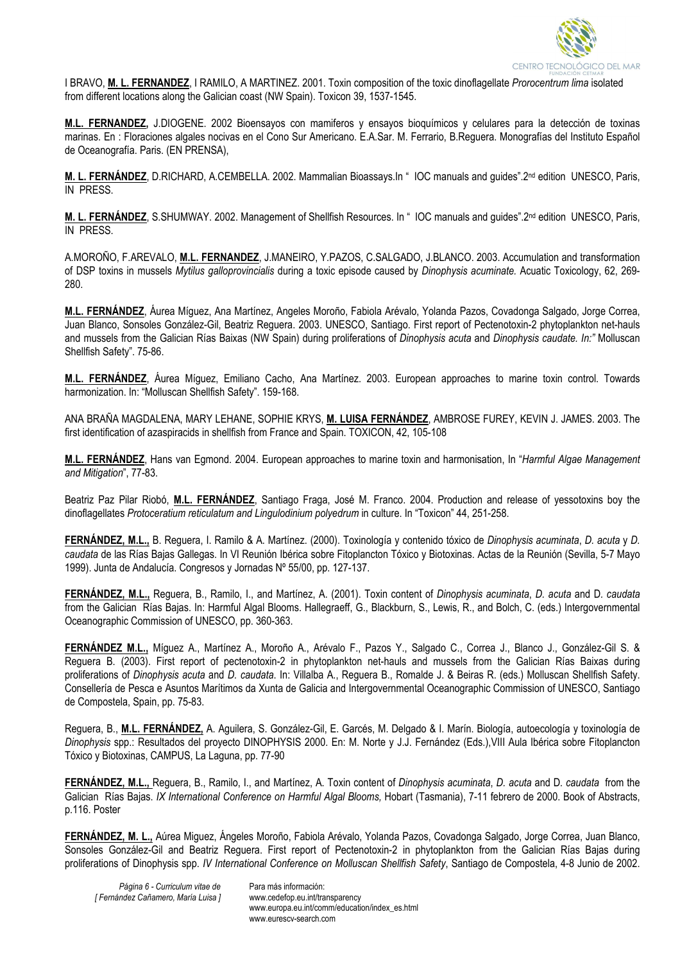

I BRAVO, **M. L. FERNANDEZ**, I RAMILO, A MARTINEZ. 2001. Toxin composition of the toxic dinoflagellate *Prorocentrum lima* isolated from different locations along the Galician coast (NW Spain). Toxicon 39, 1537-1545.

**M.L. FERNANDEZ,** J.DIOGENE. 2002 Bioensayos con mamiferos y ensayos bioquímicos y celulares para la detección de toxinas marinas. En : Floraciones algales nocivas en el Cono Sur Americano. E.A.Sar. M. Ferrario, B.Reguera. Monografías del Instituto Español de Oceanografía. Paris. (EN PRENSA),

**M. L. FERNÁNDEZ**, D.RICHARD, A.CEMBELLA. 2002. Mammalian Bioassays.In " IOC manuals and guides".2nd edition UNESCO, Paris, IN PRESS.

M. L. FERNÁNDEZ, S.SHUMWAY. 2002. Management of Shellfish Resources. In " IOC manuals and guides".2<sup>nd</sup> edition UNESCO, Paris, IN PRESS.

A.MOROÑO, F.AREVALO, **M.L. FERNANDEZ**, J.MANEIRO, Y.PAZOS, C.SALGADO, J.BLANCO. 2003. Accumulation and transformation of DSP toxins in mussels *Mytilus galloprovincialis* during a toxic episode caused by *Dinophysis acuminate.* Acuatic Toxicology, 62, 269- 280.

**M.L. FERNÁNDEZ**, Áurea Míguez, Ana Martínez, Angeles Moroño, Fabiola Arévalo, Yolanda Pazos, Covadonga Salgado, Jorge Correa, Juan Blanco, Sonsoles González-Gil, Beatriz Reguera. 2003. UNESCO, Santiago. First report of Pectenotoxin-2 phytoplankton net-hauls and mussels from the Galician Rías Baixas (NW Spain) during proliferations of *Dinophysis acuta* and *Dinophysis caudate. In:"* Molluscan Shellfish Safety". 75-86.

**M.L. FERNÁNDEZ**, Áurea Míguez, Emiliano Cacho, Ana Martínez. 2003. European approaches to marine toxin control. Towards harmonization. In: "Molluscan Shellfish Safety". 159-168.

ANA BRAÑA MAGDALENA, MARY LEHANE, SOPHIE KRYS, **M. LUISA FERNÁNDEZ**, AMBROSE FUREY, KEVIN J. JAMES. 2003. The first identification of azaspiracids in shellfish from France and Spain. TOXICON, 42, 105-108

**M.L. FERNÁNDEZ**, Hans van Egmond. 2004. European approaches to marine toxin and harmonisation, In "*Harmful Algae Management and Mitigation*", 77-83.

Beatriz Paz Pilar Riobó, **M.L. FERNÁNDEZ**, Santiago Fraga, José M. Franco. 2004. Production and release of yessotoxins boy the dinoflagellates *Protoceratium reticulatum and Lingulodinium polyedrum* in culture. In "Toxicon" 44, 251-258.

**FERNÁNDEZ, M.L.,** B. Reguera, I. Ramilo & A. Martínez. (2000). Toxinología y contenido tóxico de *Dinophysis acuminata*, *D. acuta* y *D. caudata* de las Rías Bajas Gallegas. In VI Reunión Ibérica sobre Fitoplancton Tóxico y Biotoxinas. Actas de la Reunión (Sevilla, 5-7 Mayo 1999). Junta de Andalucía. Congresos y Jornadas Nº 55/00, pp. 127-137.

**FERNÁNDEZ, M.L.,** Reguera, B., Ramilo, I., and Martínez, A. (2001). Toxin content of *Dinophysis acuminata*, *D. acuta* and D*. caudata* from the Galician Rías Bajas. In: Harmful Algal Blooms. Hallegraeff, G., Blackburn, S., Lewis, R., and Bolch, C. (eds.) Intergovernmental Oceanographic Commission of UNESCO, pp. 360-363.

**FERNÁNDEZ M.L.,** Míguez A., Martínez A., Moroño A., Arévalo F., Pazos Y., Salgado C., Correa J., Blanco J., González-Gil S. & Reguera B. (2003). First report of pectenotoxin-2 in phytoplankton net-hauls and mussels from the Galician Rías Baixas during proliferations of *Dinophysis acuta* and *D. caudata*. In: Villalba A., Reguera B., Romalde J. & Beiras R. (eds.) Molluscan Shellfish Safety. Consellería de Pesca e Asuntos Marítimos da Xunta de Galicia and Intergovernmental Oceanographic Commission of UNESCO, Santiago de Compostela, Spain, pp. 75-83.

Reguera, B., **M.L. FERNÁNDEZ,** A. Aguilera, S. González-Gil, E. Garcés, M. Delgado & I. Marín. Biología, autoecología y toxinología de *Dinophysis* spp.: Resultados del proyecto DINOPHYSIS 2000. En: M. Norte y J.J. Fernández (Eds.),VIII Aula Ibérica sobre Fitoplancton Tóxico y Biotoxinas, CAMPUS, La Laguna, pp. 77-90

**FERNÁNDEZ, M.L.,** Reguera, B., Ramilo, I., and Martínez, A. Toxin content of *Dinophysis acuminata*, *D. acuta* and D*. caudata* from the Galician Rías Bajas. *IX International Conference on Harmful Algal Blooms,* Hobart (Tasmania), 7-11 febrero de 2000. Book of Abstracts, p.116. Poster

**FERNÁNDEZ, M. L.,** Aúrea Miguez, Ángeles Moroño, Fabiola Arévalo, Yolanda Pazos, Covadonga Salgado, Jorge Correa, Juan Blanco, Sonsoles González-Gil and Beatriz Reguera. First report of Pectenotoxin-2 in phytoplankton from the Galician Rías Bajas during proliferations of Dinophysis spp. *IV International Conference on Molluscan Shellfish Safety*, Santiago de Compostela, 4-8 Junio de 2002.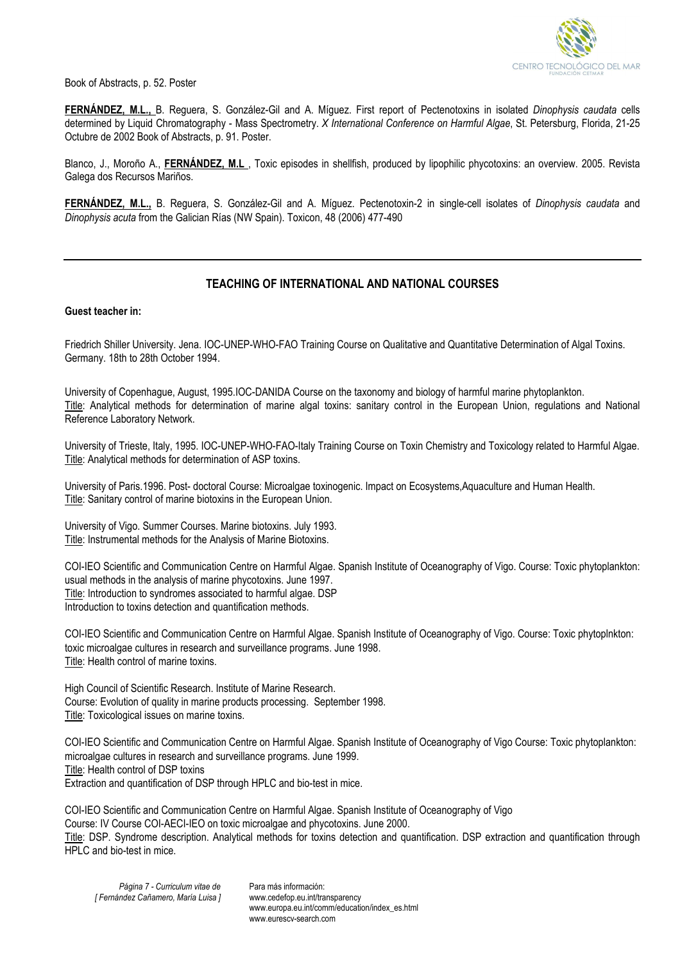

Book of Abstracts, p. 52. Poster

**FERNÁNDEZ, M.L.,** B. Reguera, S. González-Gil and A. Míguez. First report of Pectenotoxins in isolated *Dinophysis caudata* cells determined by Liquid Chromatography - Mass Spectrometry. *X International Conference on Harmful Algae*, St. Petersburg, Florida, 21-25 Octubre de 2002 Book of Abstracts, p. 91. Poster.

Blanco, J., Moroño A., **FERNÁNDEZ, M.L** , Toxic episodes in shellfish, produced by lipophilic phycotoxins: an overview. 2005. Revista Galega dos Recursos Mariños.

**FERNÁNDEZ, M.L.,** B. Reguera, S. González-Gil and A. Míguez. Pectenotoxin-2 in single-cell isolates of *Dinophysis caudata* and *Dinophysis acuta* from the Galician Rías (NW Spain). Toxicon, 48 (2006) 477-490

# **TEACHING OF INTERNATIONAL AND NATIONAL COURSES**

#### **Guest teacher in:**

Friedrich Shiller University. Jena. IOC-UNEP-WHO-FAO Training Course on Qualitative and Quantitative Determination of Algal Toxins. Germany. 18th to 28th October 1994.

University of Copenhague, August, 1995.IOC-DANIDA Course on the taxonomy and biology of harmful marine phytoplankton. Title: Analytical methods for determination of marine algal toxins: sanitary control in the European Union, regulations and National Reference Laboratory Network.

University of Trieste, Italy, 1995. IOC-UNEP-WHO-FAO-Italy Training Course on Toxin Chemistry and Toxicology related to Harmful Algae. Title: Analytical methods for determination of ASP toxins.

University of Paris.1996. Post- doctoral Course: Microalgae toxinogenic. Impact on Ecosystems,Aquaculture and Human Health. Title: Sanitary control of marine biotoxins in the European Union.

University of Vigo. Summer Courses. Marine biotoxins. July 1993. Title: Instrumental methods for the Analysis of Marine Biotoxins.

COI-IEO Scientific and Communication Centre on Harmful Algae. Spanish Institute of Oceanography of Vigo. Course: Toxic phytoplankton: usual methods in the analysis of marine phycotoxins. June 1997. Title: Introduction to syndromes associated to harmful algae. DSP Introduction to toxins detection and quantification methods.

COI-IEO Scientific and Communication Centre on Harmful Algae. Spanish Institute of Oceanography of Vigo. Course: Toxic phytoplnkton: toxic microalgae cultures in research and surveillance programs. June 1998. Title: Health control of marine toxins.

High Council of Scientific Research. Institute of Marine Research. Course: Evolution of quality in marine products processing. September 1998. Title: Toxicological issues on marine toxins.

COI-IEO Scientific and Communication Centre on Harmful Algae. Spanish Institute of Oceanography of Vigo Course: Toxic phytoplankton: microalgae cultures in research and surveillance programs. June 1999. Title: Health control of DSP toxins Extraction and quantification of DSP through HPLC and bio-test in mice.

COI-IEO Scientific and Communication Centre on Harmful Algae. Spanish Institute of Oceanography of Vigo Course: IV Course COI-AECI-IEO on toxic microalgae and phycotoxins. June 2000. Title: DSP. Syndrome description. Analytical methods for toxins detection and quantification. DSP extraction and quantification through HPLC and bio-test in mice.

www.eurescy-search.com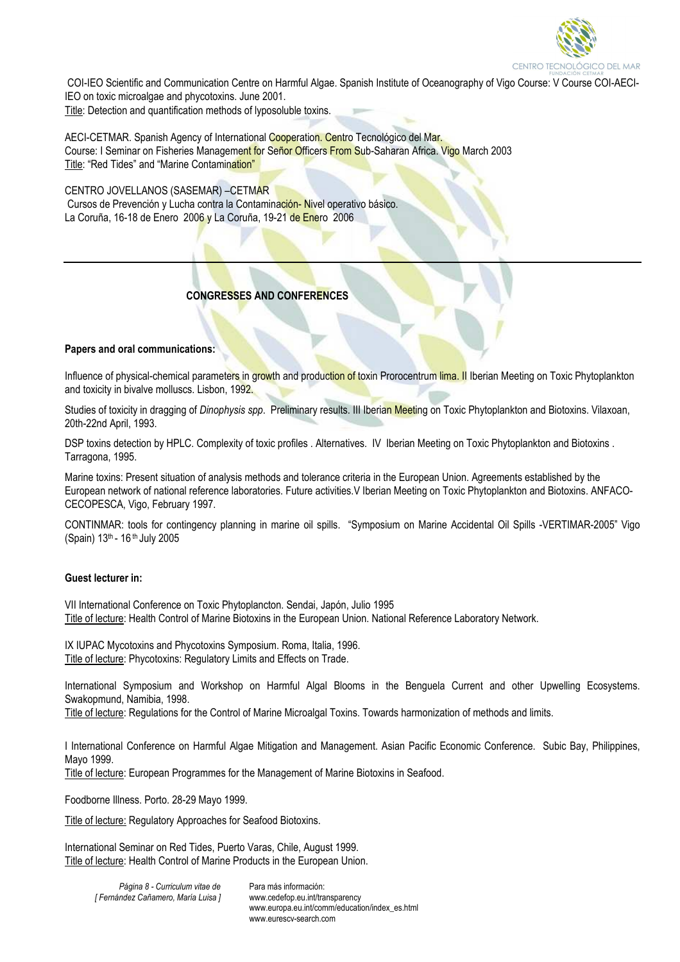

 COI-IEO Scientific and Communication Centre on Harmful Algae. Spanish Institute of Oceanography of Vigo Course: V Course COI-AECI-IEO on toxic microalgae and phycotoxins. June 2001.

Title: Detection and quantification methods of lyposoluble toxins.

AECI-CETMAR. Spanish Agency of International Cooperation. Centro Tecnológico del Mar. Course: I Seminar on Fisheries Management for Señor Officers From Sub-Saharan Africa. Vigo March 2003 Title: "Red Tides" and "Marine Contamination"

CENTRO JOVELLANOS (SASEMAR) –CETMAR Cursos de Prevención y Lucha contra la Contaminación-Nivel operativo básico. La Coruña, 16-18 de Enero 2006 y La Coruña, 19-21 de Enero 2006

# **CONGRESSES AND CONFERENCES**

#### **Papers and oral communications:**

Influence of physical-chemical parameters in growth and production of toxin Prorocentrum lima. Il Iberian Meeting on Toxic Phytoplankton and toxicity in bivalve molluscs. Lisbon, 1992.

Studies of toxicity in dragging of *Dinophysis spp*. Preliminary results. III Iberian Meeting on Toxic Phytoplankton and Biotoxins. Vilaxoan, 20th-22nd April, 1993.

DSP toxins detection by HPLC. Complexity of toxic profiles . Alternatives. IV Iberian Meeting on Toxic Phytoplankton and Biotoxins . Tarragona, 1995.

Marine toxins: Present situation of analysis methods and tolerance criteria in the European Union. Agreements established by the European network of national reference laboratories. Future activities.V Iberian Meeting on Toxic Phytoplankton and Biotoxins. ANFACO-CECOPESCA, Vigo, February 1997.

CONTINMAR: tools for contingency planning in marine oil spills. "Symposium on Marine Accidental Oil Spills -VERTIMAR-2005" Vigo (Spain) 13th - 16 th July 2005

#### **Guest lecturer in:**

VII International Conference on Toxic Phytoplancton. Sendai, Japón, Julio 1995 Title of lecture: Health Control of Marine Biotoxins in the European Union. National Reference Laboratory Network.

IX IUPAC Mycotoxins and Phycotoxins Symposium. Roma, Italia, 1996. Title of lecture: Phycotoxins: Regulatory Limits and Effects on Trade.

International Symposium and Workshop on Harmful Algal Blooms in the Benguela Current and other Upwelling Ecosystems. Swakopmund, Namibia, 1998.

Title of lecture: Regulations for the Control of Marine Microalgal Toxins. Towards harmonization of methods and limits.

I International Conference on Harmful Algae Mitigation and Management. Asian Pacific Economic Conference. Subic Bay, Philippines, Mayo 1999.

Title of lecture: European Programmes for the Management of Marine Biotoxins in Seafood.

Foodborne Illness. Porto. 28-29 Mayo 1999.

Title of lecture: Regulatory Approaches for Seafood Biotoxins.

International Seminar on Red Tides, Puerto Varas, Chile, August 1999. Title of lecture: Health Control of Marine Products in the European Union.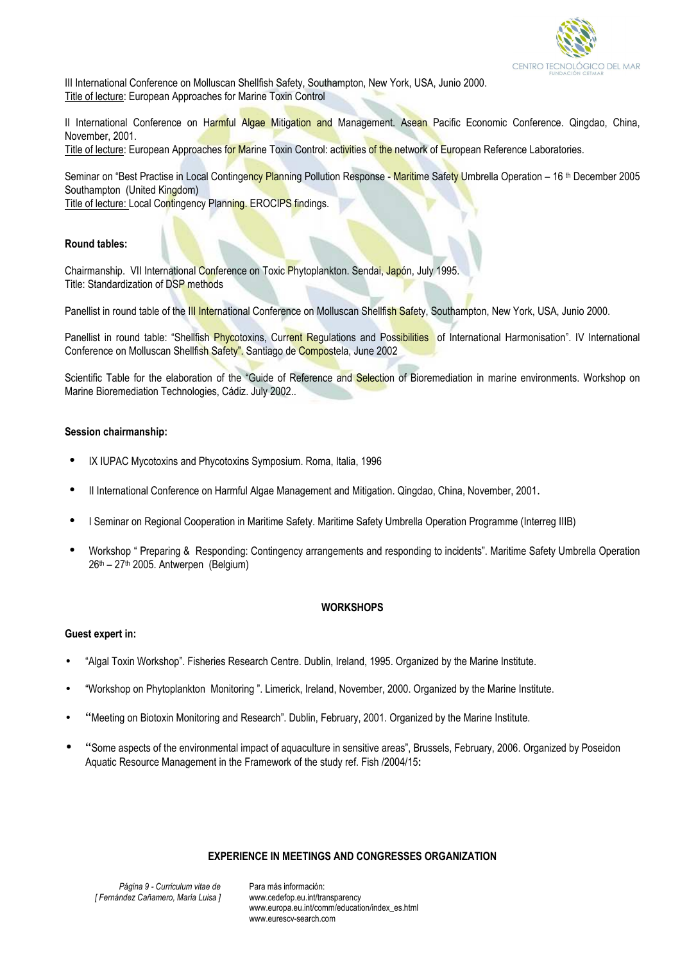

III International Conference on Molluscan Shellfish Safety, Southampton, New York, USA, Junio 2000. Title of lecture: European Approaches for Marine Toxin Control

II International Conference on Harmful Algae Mitigation and Management. Asean Pacific Economic Conference. Qingdao, China, November, 2001.

Title of lecture: European Approaches for Marine Toxin Control: activities of the network of European Reference Laboratories.

Seminar on "Best Practise in Local Contingency Planning Pollution Response - Maritime Safety Umbrella Operation – 16<sup>th</sup> December 2005 Southampton (United Kingdom)

Title of lecture: Local Contingency Planning. EROCIPS findings.

## **Round tables:**

Chairmanship. VII International Conference on Toxic Phytoplankton. Sendai, Japón, July 1995. Title: Standardization of DSP methods

Panellist in round table of the III International Conference on Molluscan Shellfish Safety, Southampton, New York, USA, Junio 2000.

Panellist in round table: "Shellfish Phycotoxins, Current Regulations and Possibilities of International Harmonisation". IV International Conference on Molluscan Shellfish Safety". Santiago de Compostela, June 2002

Scientific Table for the elaboration of the "Guide of Reference and Selection of Bioremediation in marine environments. Workshop on Marine Bioremediation Technologies, Cádiz. July 2002..

#### **Session chairmanship:**

- IX IUPAC Mycotoxins and Phycotoxins Symposium. Roma, Italia, 1996
- II International Conference on Harmful Algae Management and Mitigation. Qingdao, China, November, 2001.
- I Seminar on Regional Cooperation in Maritime Safety. Maritime Safety Umbrella Operation Programme (Interreg IIIB)
- Workshop " Preparing & Responding: Contingency arrangements and responding to incidents". Maritime Safety Umbrella Operation  $26<sup>th</sup> - 27<sup>th</sup>$  2005. Antwerpen (Belgium)

#### **WORKSHOPS**

#### **Guest expert in:**

- "Algal Toxin Workshop". Fisheries Research Centre. Dublin, Ireland, 1995. Organized by the Marine Institute.
- "Workshop on Phytoplankton Monitoring ". Limerick, Ireland, November, 2000. Organized by the Marine Institute.
- "Meeting on Biotoxin Monitoring and Research". Dublin, February, 2001. Organized by the Marine Institute.
- "Some aspects of the environmental impact of aquaculture in sensitive areas", Brussels, February, 2006. Organized by Poseidon Aquatic Resource Management in the Framework of the study ref. Fish /2004/15**:**

#### **EXPERIENCE IN MEETINGS AND CONGRESSES ORGANIZATION**

*Página 9 - Curriculum vitae de [ Fernández Cañamero, María Luisa ]*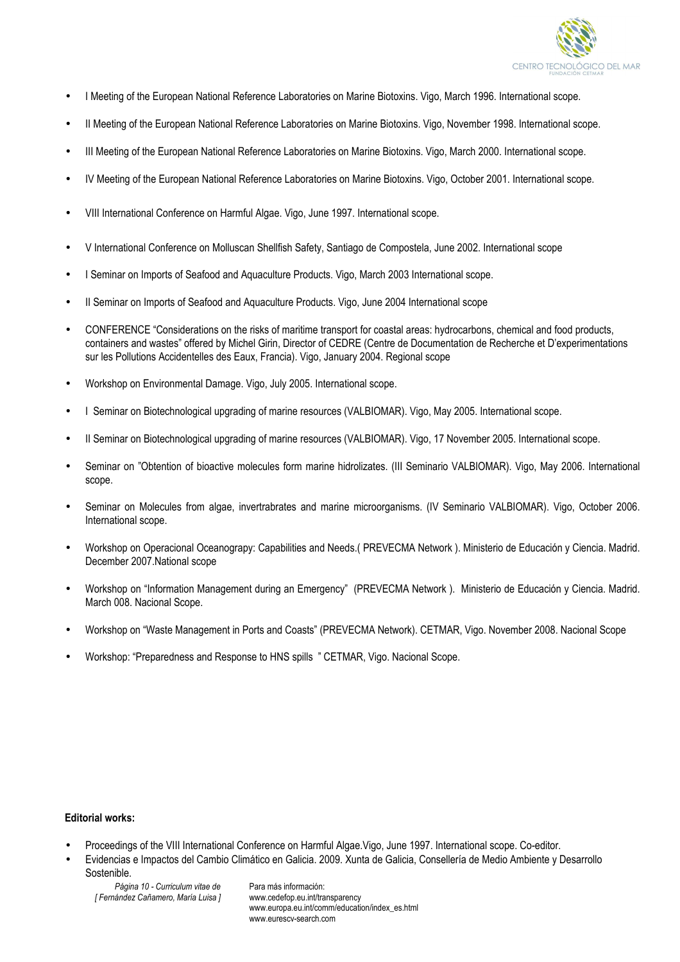

- I Meeting of the European National Reference Laboratories on Marine Biotoxins. Vigo, March 1996. International scope.
- II Meeting of the European National Reference Laboratories on Marine Biotoxins. Vigo, November 1998. International scope.
- III Meeting of the European National Reference Laboratories on Marine Biotoxins. Vigo, March 2000. International scope.
- IV Meeting of the European National Reference Laboratories on Marine Biotoxins. Vigo, October 2001. International scope.
- VIII International Conference on Harmful Algae. Vigo, June 1997. International scope.
- V International Conference on Molluscan Shellfish Safety, Santiago de Compostela, June 2002. International scope
- I Seminar on Imports of Seafood and Aquaculture Products. Vigo, March 2003 International scope.
- II Seminar on Imports of Seafood and Aquaculture Products. Vigo, June 2004 International scope
- CONFERENCE "Considerations on the risks of maritime transport for coastal areas: hydrocarbons, chemical and food products, containers and wastes" offered by Michel Girin, Director of CEDRE (Centre de Documentation de Recherche et D'experimentations sur les Pollutions Accidentelles des Eaux, Francia). Vigo, January 2004. Regional scope
- Workshop on Environmental Damage. Vigo, July 2005. International scope.
- I Seminar on Biotechnological upgrading of marine resources (VALBIOMAR). Vigo, May 2005. International scope.
- II Seminar on Biotechnological upgrading of marine resources (VALBIOMAR). Vigo, 17 November 2005. International scope.
- Seminar on "Obtention of bioactive molecules form marine hidrolizates. (III Seminario VALBIOMAR). Vigo, May 2006. International scope.
- Seminar on Molecules from algae, invertrabrates and marine microorganisms. (IV Seminario VALBIOMAR). Vigo, October 2006. International scope.
- Workshop on Operacional Oceanograpy: Capabilities and Needs.( PREVECMA Network ). Ministerio de Educación y Ciencia. Madrid. December 2007.National scope
- Workshop on "Information Management during an Emergency" (PREVECMA Network ). Ministerio de Educación y Ciencia. Madrid. March 008. Nacional Scope.
- Workshop on "Waste Management in Ports and Coasts" (PREVECMA Network). CETMAR, Vigo. November 2008. Nacional Scope
- Workshop: "Preparedness and Response to HNS spills " CETMAR, Vigo. Nacional Scope.

#### **Editorial works:**

- Proceedings of the VIII International Conference on Harmful Algae.Vigo, June 1997. International scope. Co-editor.
- Evidencias e Impactos del Cambio Climático en Galicia. 2009. Xunta de Galicia, Consellería de Medio Ambiente y Desarrollo Sostenible.
	- *Página 10 Curriculum vitae de [ Fernández Cañamero, María Luisa ]*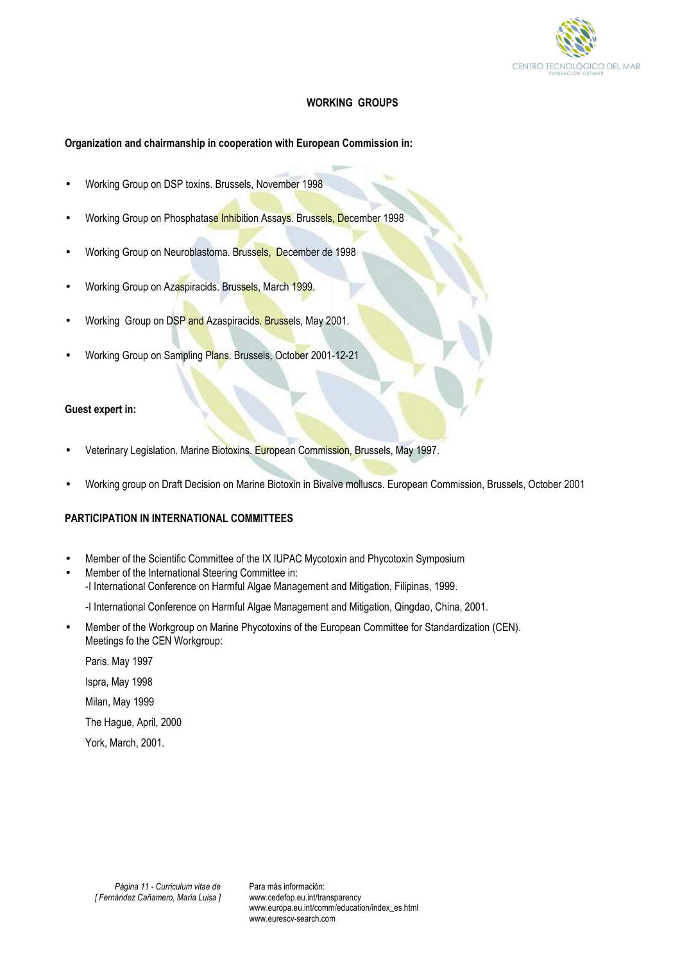

# **WORKING GROUPS**

# **Organization and chairmanship in cooperation with European Commission in:**

- Working Group on DSP toxins. Brussels, November 1998
- Working Group on Phosphatase Inhibition Assays. Brussels, December 1998
- Working Group on Neuroblastoma. Brussels, December de 1998
- Working Group on Azaspiracids. Brussels, March 1999.
- Working Group on DSP and Azaspiracids. Brussels, May 2001.
- Working Group on Sampling Plans. Brussels, October 2001-12-21

## **Guest expert in:**

- Veterinary Legislation. Marine Biotoxins. European Commission, Brussels, May 1997.
- Working group on Draft Decision on Marine Biotoxin in Bivalve molluscs. European Commission, Brussels, October 2001

# **PARTICIPATION IN INTERNATIONAL COMMITTEES**

- Member of the Scientific Committee of the IX IUPAC Mycotoxin and Phycotoxin Symposium
- Member of the International Steering Committee in:
	- -I International Conference on Harmful Algae Management and Mitigation, Filipinas, 1999.
		- -I International Conference on Harmful Algae Management and Mitigation, Qingdao, China, 2001.
- Member of the Workgroup on Marine Phycotoxins of the European Committee for Standardization (CEN). Meetings fo the CEN Workgroup:
	- Paris. May 1997 Ispra, May 1998 Milan, May 1999 The Hague, April, 2000 York, March, 2001.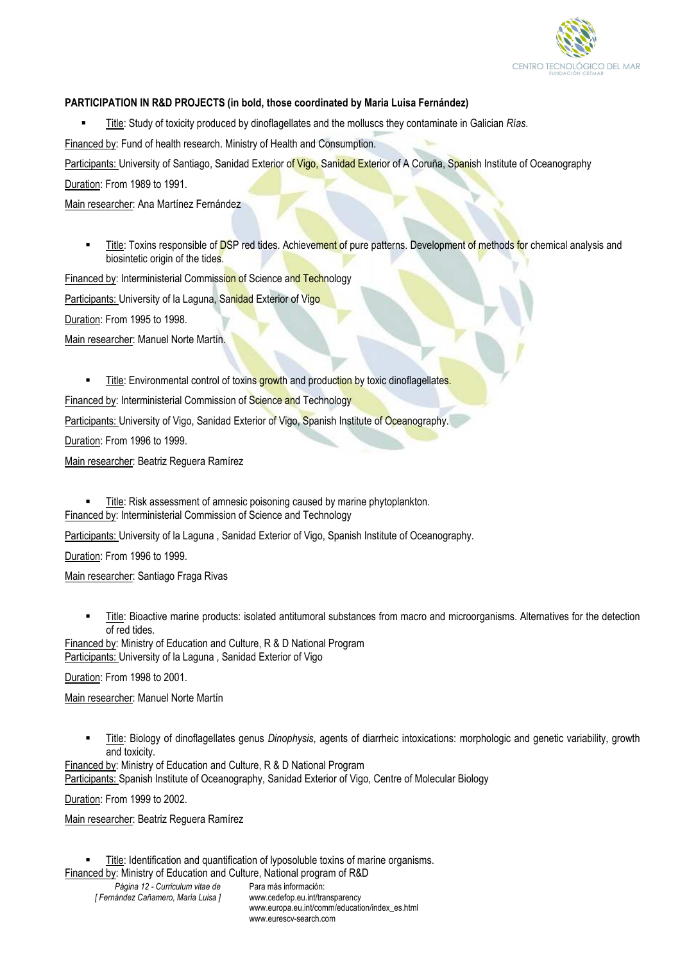

## **PARTICIPATION IN R&D PROJECTS (in bold, those coordinated by Maria Luisa Fernández)**

Title: Study of toxicity produced by dinoflagellates and the molluscs they contaminate in Galician *Rías*.

Financed by: Fund of health research. Ministry of Health and Consumption.

Participants: University of Santiago, Sanidad Exterior of Vigo, Sanidad Exterior of A Coruña, Spanish Institute of Oceanography

Duration: From 1989 to 1991.

Main researcher: Ana Martínez Fernández

Title: Toxins responsible of DSP red tides. Achievement of pure patterns. Development of methods for chemical analysis and biosintetic origin of the tides.

Financed by: Interministerial Commission of Science and Technology

Participants: University of la Laguna, Sanidad Exterior of Vigo

Duration: From 1995 to 1998.

Main researcher: Manuel Norte Martín.

Title: Environmental control of toxins growth and production by toxic dinoflagellates.

Financed by: Interministerial Commission of Science and Technology

Participants: University of Vigo, Sanidad Exterior of Vigo, Spanish Institute of Oceanography.

Duration: From 1996 to 1999.

Main researcher: Beatriz Reguera Ramírez

**Title:** Risk assessment of amnesic poisoning caused by marine phytoplankton. Financed by: Interministerial Commission of Science and Technology

Participants: University of la Laguna , Sanidad Exterior of Vigo, Spanish Institute of Oceanography.

Duration: From 1996 to 1999.

Main researcher: Santiago Fraga Rivas

Title: Bioactive marine products: isolated antitumoral substances from macro and microorganisms. Alternatives for the detection of red tides.

Financed by: Ministry of Education and Culture, R & D National Program Participants: University of la Laguna , Sanidad Exterior of Vigo

Duration: From 1998 to 2001.

Main researcher: Manuel Norte Martín

 Title: Biology of dinoflagellates genus *Dinophysis*, agents of diarrheic intoxications: morphologic and genetic variability, growth and toxicity.

Financed by: Ministry of Education and Culture, R & D National Program Participants: Spanish Institute of Oceanography, Sanidad Exterior of Vigo, Centre of Molecular Biology

Duration: From 1999 to 2002.

Main researcher: Beatriz Reguera Ramírez

*Página 12 - Curriculum vitae de [ Fernández Cañamero, María Luisa ]* Para más información: www.cedefop.eu.int/transparency www.europa.eu.int/comm/education/index\_es.html Title: Identification and quantification of lyposoluble toxins of marine organisms. Financed by: Ministry of Education and Culture, National program of R&D

www.eurescv-search.com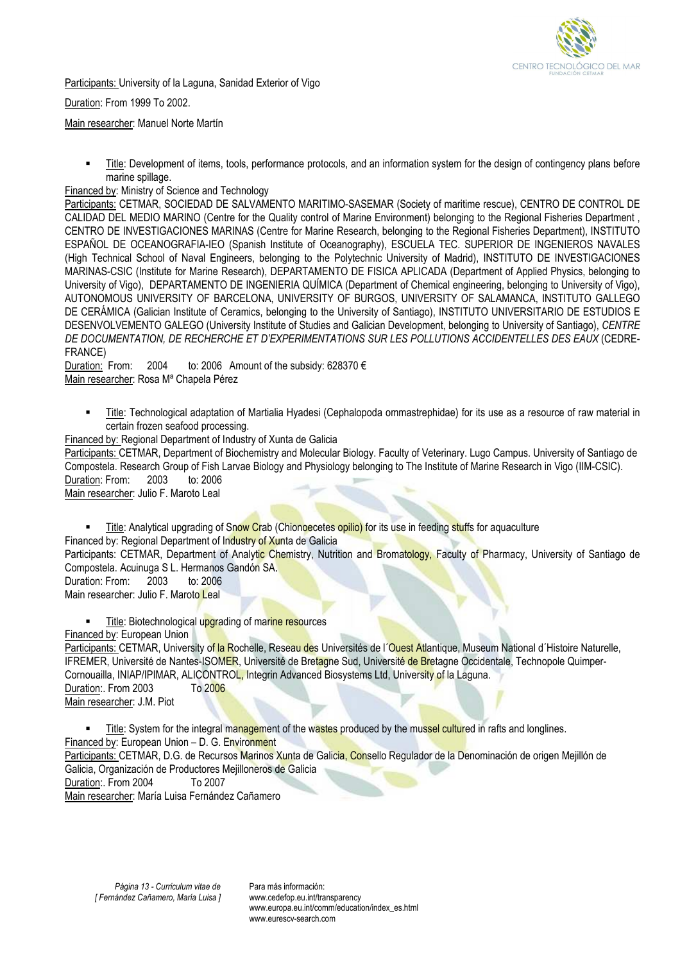

Participants: University of la Laguna, Sanidad Exterior of Vigo

Duration: From 1999 To 2002.

Main researcher: Manuel Norte Martín

 Title: Development of items, tools, performance protocols, and an information system for the design of contingency plans before marine spillage.

## Financed by: Ministry of Science and Technology

Participants: CETMAR, SOCIEDAD DE SALVAMENTO MARITIMO-SASEMAR (Society of maritime rescue), CENTRO DE CONTROL DE CALIDAD DEL MEDIO MARINO (Centre for the Quality control of Marine Environment) belonging to the Regional Fisheries Department , CENTRO DE INVESTIGACIONES MARINAS (Centre for Marine Research, belonging to the Regional Fisheries Department), INSTITUTO ESPAÑOL DE OCEANOGRAFIA-IEO (Spanish Institute of Oceanography), ESCUELA TEC. SUPERIOR DE INGENIEROS NAVALES (High Technical School of Naval Engineers, belonging to the Polytechnic University of Madrid), INSTITUTO DE INVESTIGACIONES MARINAS-CSIC (Institute for Marine Research), DEPARTAMENTO DE FISICA APLICADA (Department of Applied Physics, belonging to University of Vigo), DEPARTAMENTO DE INGENIERIA QUÍMICA (Department of Chemical engineering, belonging to University of Vigo), AUTONOMOUS UNIVERSITY OF BARCELONA, UNIVERSITY OF BURGOS, UNIVERSITY OF SALAMANCA, INSTITUTO GALLEGO DE CERÁMICA (Galician Institute of Ceramics, belonging to the University of Santiago), INSTITUTO UNIVERSITARIO DE ESTUDIOS E DESENVOLVEMENTO GALEGO (University Institute of Studies and Galician Development, belonging to University of Santiago), *CENTRE DE DOCUMENTATION, DE RECHERCHE ET D'EXPERIMENTATIONS SUR LES POLLUTIONS ACCIDENTELLES DES EAUX* (CEDRE-FRANCE)

Duration: From: 2004 to: 2006 Amount of the subsidy: 628370 € Main researcher: Rosa Mª Chapela Pérez

- Title: Technological adaptation of Martialia Hyadesi (Cephalopoda ommastrephidae) for its use as a resource of raw material in certain frozen seafood processing.
- Financed by: Regional Department of Industry of Xunta de Galicia

Participants: CETMAR, Department of Biochemistry and Molecular Biology. Faculty of Veterinary. Lugo Campus. University of Santiago de Compostela. Research Group of Fish Larvae Biology and Physiology belonging to The Institute of Marine Research in Vigo (IIM-CSIC). Duration: From: 2003 to: 2006

Main researcher: Julio F. Maroto Leal

Title: Analytical upgrading of Snow Crab (Chionoecetes opilio) for its use in feeding stuffs for aquaculture

Financed by: Regional Department of Industry of Xunta de Galicia

Participants: CETMAR, Department of Analytic Chemistry, Nutrition and Bromatology, Faculty of Pharmacy, University of Santiago de Compostela. Acuinuga S L. Hermanos Gandón SA.<br>Duration: From: 2003 to: 2006

Duration: From: 2003 to: 2006 Main researcher: Julio F. Maroto Leal

Title: Biotechnological upgrading of marine resources

Financed by: European Union

Participants: CETMAR, University of la Rochelle, Reseau des Universités de l'Ouest Atlantique, Museum National d'Histoire Naturelle, IFREMER, Université de Nantes-ISOMER, Université de Bretagne Sud, Université de Bretagne Occidentale, Technopole Quimper-Cornouailla, INIAP/IPIMAR, ALICONTROL, Integrin Advanced Biosystems Ltd, University of la Laguna. Duration:. From 2003 To 2006

Main researcher: J.M. Piot

Title: System for the integral management of the wastes produced by the mussel cultured in rafts and longlines. Financed by: European Union – D. G. Environment

Participants: CETMAR, D.G. de Recursos Marinos Xunta de Galicia, Consello Regulador de la Denominación de origen Mejillón de Galicia, Organización de Productores Mejilloneros de Galicia

Duration:. From 2004 To 2007

Main researcher: María Luisa Fernández Cañamero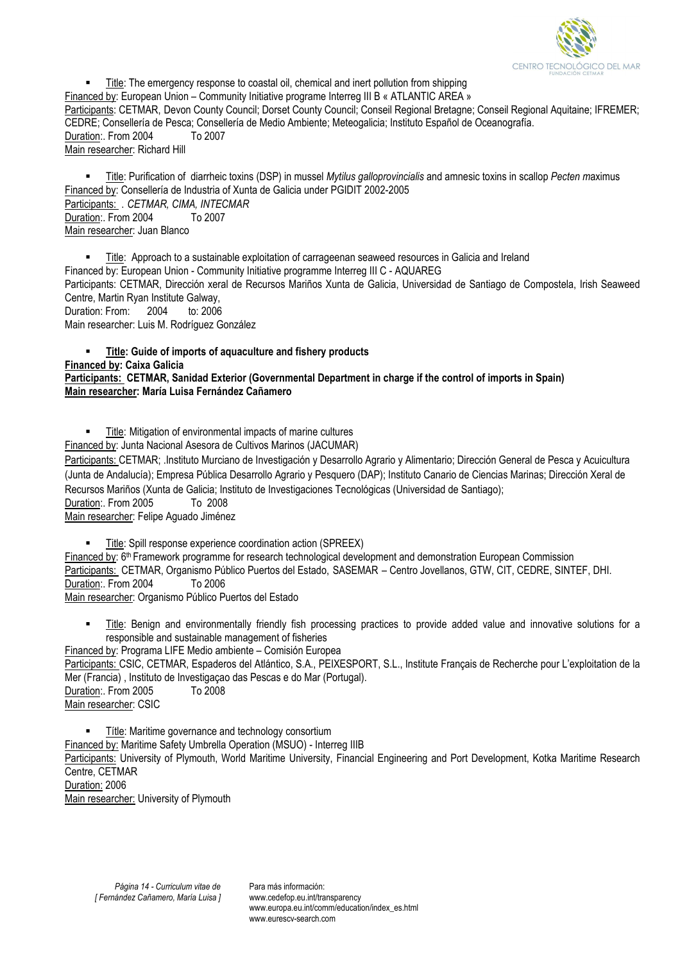

 Title: The emergency response to coastal oil, chemical and inert pollution from shipping Financed by: European Union – Community Initiative programe Interreg III B « ATLANTIC AREA » Participants: CETMAR, Devon County Council; Dorset County Council; Conseil Regional Bretagne; Conseil Regional Aquitaine; IFREMER; CEDRE; Consellería de Pesca; Consellería de Medio Ambiente; Meteogalicia; Instituto Español de Oceanografía. Duration:. From 2004 To 2007 Main researcher: Richard Hill

 Title: Purification of diarrheic toxins (DSP) in mussel *Mytilus galloprovincialis* and amnesic toxins in scallop *Pecten m*aximus Financed by: Consellería de Industria of Xunta de Galicia under PGIDIT 2002-2005 Participants: . *CETMAR, CIMA, INTECMAR* Duration:. From 2004 To 2007 Main researcher: Juan Blanco

 Title: Approach to a sustainable exploitation of carrageenan seaweed resources in Galicia and Ireland Financed by: European Union - Community Initiative programme Interreg III C - AQUAREG Participants: CETMAR, Dirección xeral de Recursos Mariños Xunta de Galicia, Universidad de Santiago de Compostela, Irish Seaweed Centre, Martin Ryan Institute Galway, Duration: From: 2004 to: 2006 Main researcher: Luis M. Rodríguez González

 **Title: Guide of imports of aquaculture and fishery products Financed by: Caixa Galicia Participants: CETMAR, Sanidad Exterior (Governmental Department in charge if the control of imports in Spain) Main researcher: María Luisa Fernández Cañamero** 

**Title: Mitigation of environmental impacts of marine cultures** 

Financed by: Junta Nacional Asesora de Cultivos Marinos (JACUMAR)

Participants: CETMAR; .Instituto Murciano de Investigación y Desarrollo Agrario y Alimentario; Dirección General de Pesca y Acuicultura (Junta de Andalucía); Empresa Pública Desarrollo Agrario y Pesquero (DAP); Instituto Canario de Ciencias Marinas; Dirección Xeral de Recursos Mariños (Xunta de Galicia; Instituto de Investigaciones Tecnológicas (Universidad de Santiago); Duration:. From 2005 To 2008

Main researcher: Felipe Aguado Jiménez

 Title: Spill response experience coordination action (SPREEX) Financed by: 6<sup>th</sup> Framework programme for research technological development and demonstration European Commission Participants: CETMAR, Organismo Público Puertos del Estado, SASEMAR – Centro Jovellanos, GTW, CIT, CEDRE, SINTEF, DHI. Duration:. From 2004 To 2006 Main researcher: Organismo Público Puertos del Estado

 Title: Benign and environmentally friendly fish processing practices to provide added value and innovative solutions for a responsible and sustainable management of fisheries

Financed by: Programa LIFE Medio ambiente – Comisión Europea Participants: CSIC, CETMAR, Espaderos del Atlántico, S.A., PEIXESPORT, S.L., Institute Français de Recherche pour L'exploitation de la Mer (Francia) , Instituto de Investigaçao das Pescas e do Mar (Portugal). Duration: From 2005 To 2008 Main researcher: CSIC

**Title: Maritime governance and technology consortium** 

Financed by: Maritime Safety Umbrella Operation (MSUO) - Interreg IIIB

Participants: University of Plymouth, World Maritime University, Financial Engineering and Port Development, Kotka Maritime Research Centre, CETMAR

Duration: 2006

Main researcher: University of Plymouth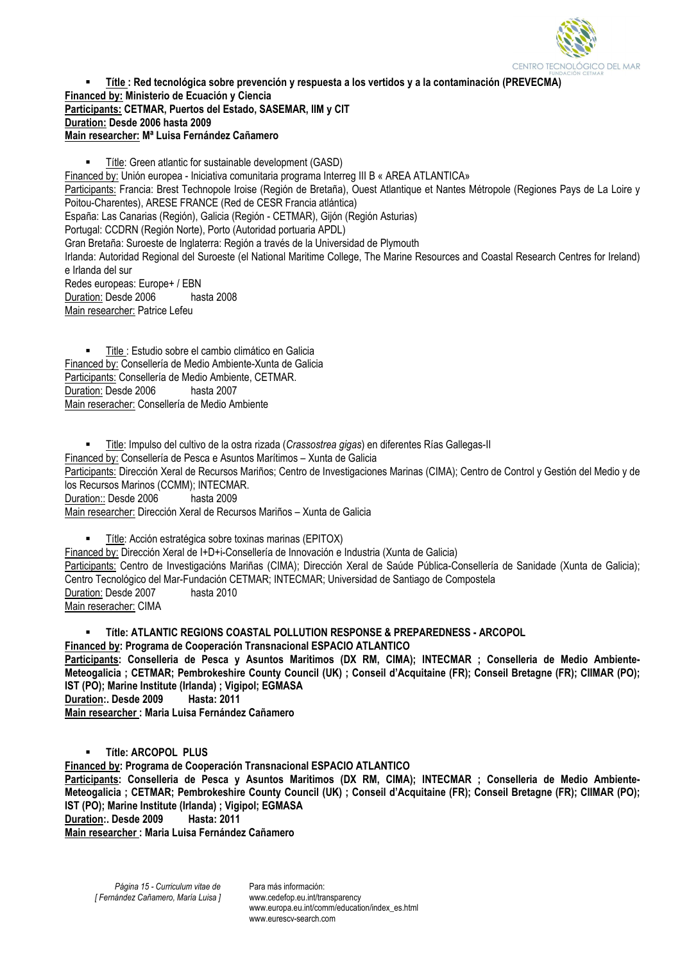

 **Títle : Red tecnológica sobre prevención y respuesta a los vertidos y a la contaminación (PREVECMA) Financed by: Ministerio de Ecuación y Ciencia Participants: CETMAR, Puertos del Estado, SASEMAR, IIM y CIT Duration: Desde 2006 hasta 2009 Main researcher: Mª Luisa Fernández Cañamero** 

Títle: Green atlantic for sustainable development (GASD) Financed by: Unión europea - Iniciativa comunitaria programa Interreg III B « AREA ATLANTICA» Participants: Francia: Brest Technopole Iroise (Región de Bretaña), Ouest Atlantique et Nantes Métropole (Regiones Pays de La Loire y Poitou-Charentes), ARESE FRANCE (Red de CESR Francia atlántica) España: Las Canarias (Región), Galicia (Región - CETMAR), Gijón (Región Asturias) Portugal: CCDRN (Región Norte), Porto (Autoridad portuaria APDL) Gran Bretaña: Suroeste de Inglaterra: Región a través de la Universidad de Plymouth Irlanda: Autoridad Regional del Suroeste (el National Maritime College, The Marine Resources and Coastal Research Centres for Ireland) e Irlanda del sur Redes europeas: Europe+ / EBN<br>Duration: Desde 2006 hasta 2008 Duration: Desde 2006 Main researcher: Patrice Lefeu

 Title : Estudio sobre el cambio climático en Galicia Financed by: Consellería de Medio Ambiente-Xunta de Galicia Participants: Consellería de Medio Ambiente, CETMAR. Duration: Desde 2006 hasta 2007 Main reseracher: Consellería de Medio Ambiente

 Title: Impulso del cultivo de la ostra rizada (*Crassostrea gigas*) en diferentes Rías Gallegas-II Financed by: Consellería de Pesca e Asuntos Marítimos – Xunta de Galicia Participants: Dirección Xeral de Recursos Mariños; Centro de Investigaciones Marinas (CIMA); Centro de Control y Gestión del Medio y de los Recursos Marinos (CCMM); INTECMAR. Duration:: Desde 2006 hasta 2009 Main researcher: Dirección Xeral de Recursos Mariños – Xunta de Galicia

 Títle: Acción estratégica sobre toxinas marinas (EPITOX) Financed by: Dirección Xeral de I+D+i-Consellería de Innovación e Industria (Xunta de Galicia) Participants: Centro de Investigacións Mariñas (CIMA); Dirección Xeral de Saúde Pública-Consellería de Sanidade (Xunta de Galicia); Centro Tecnológico del Mar-Fundación CETMAR; INTECMAR; Universidad de Santiago de Compostela Duration: Desde 2007 hasta 2010 Main reseracher: CIMA

 **Títle: ATLANTIC REGIONS COASTAL POLLUTION RESPONSE & PREPAREDNESS - ARCOPOL Financed by: Programa de Cooperación Transnacional ESPACIO ATLANTICO**  Participants: Conselleria de Pesca y Asuntos Maritimos (DX RM, CIMA); INTECMAR ; Conselleria de Medio Ambiente-**Meteogalicia ; CETMAR; Pembrokeshire County Council (UK) ; Conseil d'Acquitaine (FR); Conseil Bretagne (FR); CIIMAR (PO); IST (PO); Marine Institute (Irlanda) ; Vigipol; EGMASA Duration:. Desde 2009 Hasta: 2011 Main researcher : Maria Luisa Fernández Cañamero** 

**Títle: ARCOPOL PLUS** 

**Financed by: Programa de Cooperación Transnacional ESPACIO ATLANTICO** 

**Participants: Conselleria de Pesca y Asuntos Maritimos (DX RM, CIMA); INTECMAR ; Conselleria de Medio Ambiente-Meteogalicia ; CETMAR; Pembrokeshire County Council (UK) ; Conseil d'Acquitaine (FR); Conseil Bretagne (FR); CIIMAR (PO); IST (PO); Marine Institute (Irlanda) ; Vigipol; EGMASA Duration:. Desde 2009** 

**Main researcher : Maria Luisa Fernández Cañamero** 

www.eurescy-search.com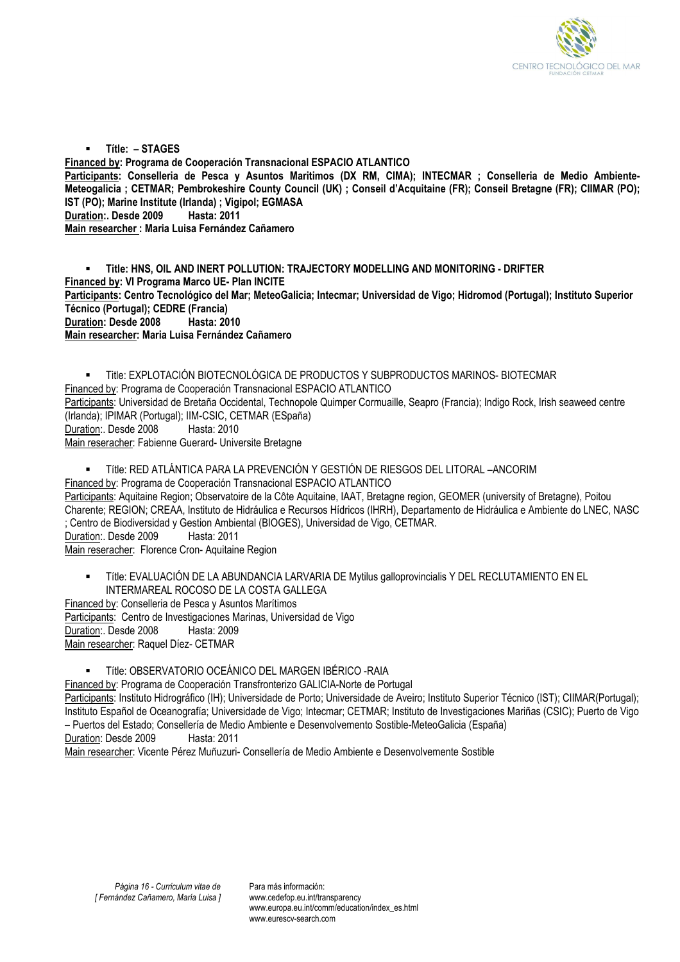

 **Títle: – STAGES Financed by: Programa de Cooperación Transnacional ESPACIO ATLANTICO Participants: Conselleria de Pesca y Asuntos Maritimos (DX RM, CIMA); INTECMAR ; Conselleria de Medio Ambiente-Meteogalicia ; CETMAR; Pembrokeshire County Council (UK) ; Conseil d'Acquitaine (FR); Conseil Bretagne (FR); CIIMAR (PO); IST (PO); Marine Institute (Irlanda) ; Vigipol; EGMASA Duration:. Desde 2009 Hasta: 2011 Main researcher : Maria Luisa Fernández Cañamero** 

 **Title: HNS, OIL AND INERT POLLUTION: TRAJECTORY MODELLING AND MONITORING - DRIFTER Financed by: VI Programa Marco UE- Plan INCITE Participants: Centro Tecnológico del Mar; MeteoGalicia; Intecmar; Universidad de Vigo; Hidromod (Portugal); Instituto Superior Técnico (Portugal); CEDRE (Francia) Duration: Desde 2008 Hasta: 2010 Main researcher: Maria Luisa Fernández Cañamero** 

 Title: EXPLOTACIÓN BIOTECNOLÓGICA DE PRODUCTOS Y SUBPRODUCTOS MARINOS- BIOTECMAR Financed by: Programa de Cooperación Transnacional ESPACIO ATLANTICO Participants: Universidad de Bretaña Occidental, Technopole Quimper Cormuaille, Seapro (Francia); Indigo Rock, Irish seaweed centre (Irlanda); IPIMAR (Portugal); IIM-CSIC, CETMAR (ESpaña) Duration:. Desde 2008 Hasta: 2010 Main reseracher: Fabienne Guerard- Universite Bretagne

Títle: RED ATLÁNTICA PARA LA PREVENCIÓN Y GESTIÓN DE RIESGOS DEL LITORAL –ANCORIM

Financed by: Programa de Cooperación Transnacional ESPACIO ATLANTICO

Participants: Aquitaine Region; Observatoire de la Côte Aquitaine, IAAT, Bretagne region, GEOMER (university of Bretagne), Poitou Charente; REGION; CREAA, Instituto de Hidráulica e Recursos Hídricos (IHRH), Departamento de Hidráulica e Ambiente do LNEC, NASC ; Centro de Biodiversidad y Gestion Ambiental (BIOGES), Universidad de Vigo, CETMAR.

Duration:. Desde 2009 Hasta: 2011

Main reseracher: Florence Cron- Aquitaine Region

 Títle: EVALUACIÓN DE LA ABUNDANCIA LARVARIA DE Mytilus galloprovincialis Y DEL RECLUTAMIENTO EN EL INTERMAREAL ROCOSO DE LA COSTA GALLEGA

Financed by: Conselleria de Pesca y Asuntos Marítimos Participants: Centro de Investigaciones Marinas, Universidad de Vigo Duration:. Desde 2008 Hasta: 2009 Main researcher: Raquel Díez- CETMAR

Títle: OBSERVATORIO OCEÁNICO DEL MARGEN IBÉRICO -RAIA

Financed by: Programa de Cooperación Transfronterizo GALICIA-Norte de Portugal

Participants: Instituto Hidrográfico (IH); Universidade de Porto; Universidade de Aveiro; Instituto Superior Técnico (IST); CIIMAR(Portugal); Instituto Español de Oceanografía; Universidade de Vigo; Intecmar; CETMAR; Instituto de Investigaciones Mariñas (CSIC); Puerto de Vigo – Puertos del Estado; Consellería de Medio Ambiente e Desenvolvemento Sostible-MeteoGalicia (España) Duration: Desde 2009 Hasta: 2011

Main researcher: Vicente Pérez Muñuzuri- Consellería de Medio Ambiente e Desenvolvemente Sostible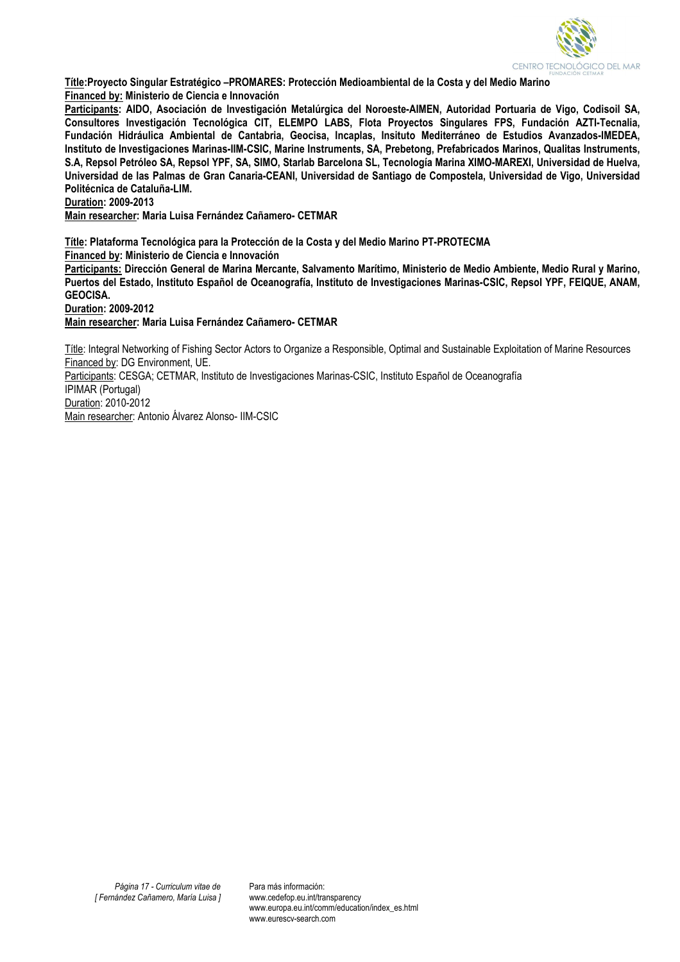

**Títle:Proyecto Singular Estratégico –PROMARES: Protección Medioambiental de la Costa y del Medio Marino Financed by: Ministerio de Ciencia e Innovación** 

**Participants: AIDO, Asociación de Investigación Metalúrgica del Noroeste-AIMEN, Autoridad Portuaria de Vigo, Codisoil SA, Consultores Investigación Tecnológica CIT, ELEMPO LABS, Flota Proyectos Singulares FPS, Fundación AZTI-Tecnalia, Fundación Hidráulica Ambiental de Cantabria, Geocisa, Incaplas, Insituto Mediterráneo de Estudios Avanzados-IMEDEA, Instituto de Investigaciones Marinas-IIM-CSIC, Marine Instruments, SA, Prebetong, Prefabricados Marinos, Qualitas Instruments, S.A, Repsol Petróleo SA, Repsol YPF, SA, SIMO, Starlab Barcelona SL, Tecnología Marina XIMO-MAREXI, Universidad de Huelva, Universidad de las Palmas de Gran Canaria-CEANI, Universidad de Santiago de Compostela, Universidad de Vigo, Universidad Politécnica de Cataluña-LIM.** 

**Duration: 2009-2013** 

**Main researcher: Maria Luisa Fernández Cañamero- CETMAR** 

**Títle: Plataforma Tecnológica para la Protección de la Costa y del Medio Marino PT-PROTECMA Financed by: Ministerio de Ciencia e Innovación** 

**Participants: Dirección General de Marina Mercante, Salvamento Marítimo, Ministerio de Medio Ambiente, Medio Rural y Marino, Puertos del Estado, Instituto Español de Oceanografía, Instituto de Investigaciones Marinas-CSIC, Repsol YPF, FEIQUE, ANAM, GEOCISA.** 

**Duration: 2009-2012** 

**Main researcher: Maria Luisa Fernández Cañamero- CETMAR** 

Títle: Integral Networking of Fishing Sector Actors to Organize a Responsible, Optimal and Sustainable Exploitation of Marine Resources Financed by: DG Environment, UE.

Participants: CESGA; CETMAR, Instituto de Investigaciones Marinas-CSIC, Instituto Español de Oceanografía IPIMAR (Portugal)

Duration: 2010-2012 Main researcher: Antonio Álvarez Alonso- IIM-CSIC